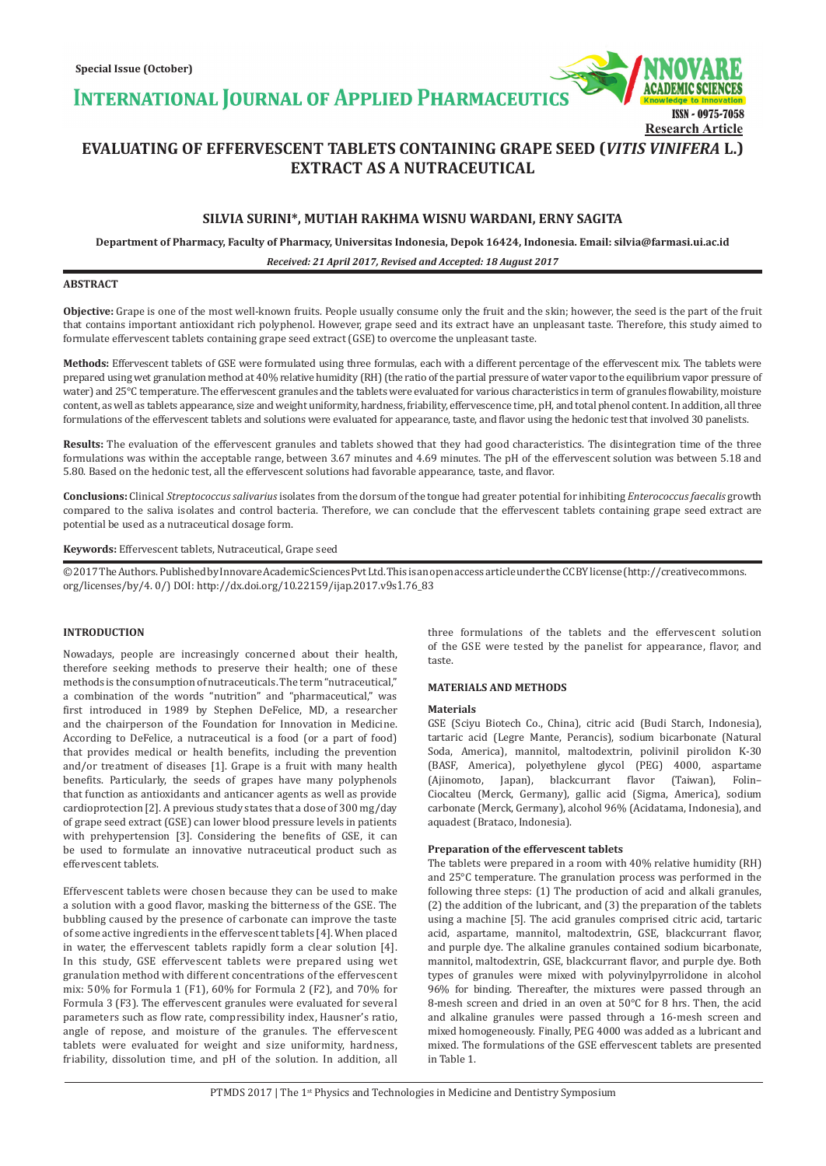**INTERNATIONAL JOURNAL OF APPLIED PHARMACEUTICS** 



**Research Article**

**EVALUATING OF EFFERVESCENT TABLETS CONTAINING GRAPE SEED (***VITIS VINIFERA* **L.) EXTRACT AS A NUTRACEUTICAL**

# **SILVIA SURINI\*, MUTIAH RAKHMA WISNU WARDANI, ERNY SAGITA**

**Department of Pharmacy, Faculty of Pharmacy, Universitas Indonesia, Depok 16424, Indonesia. Email: silvia@farmasi.ui.ac.id**

*Received: 21 April 2017, Revised and Accepted: 18 August 2017*

# **ABSTRACT**

**Objective:** Grape is one of the most well-known fruits. People usually consume only the fruit and the skin; however, the seed is the part of the fruit that contains important antioxidant rich polyphenol. However, grape seed and its extract have an unpleasant taste*.* Therefore, this study aimed to formulate effervescent tablets containing grape seed extract (GSE) to overcome the unpleasant taste.

**Methods:** Effervescent tablets of GSE were formulated using three formulas, each with a different percentage of the effervescent mix. The tablets were prepared using wet granulation method at 40% relative humidity (RH) (the ratio of the partial pressure of water vapor to the equilibrium vapor pressure of water) and 25°C temperature. The effervescent granules and the tablets were evaluated for various characteristics in term of granules flowability, moisture content, as well as tablets appearance, size and weight uniformity, hardness, friability, effervescence time, pH, and total phenol content. In addition, all three formulations of the effervescent tablets and solutions were evaluated for appearance, taste, and flavor using the hedonic test that involved 30 panelists.

**Results:** The evaluation of the effervescent granules and tablets showed that they had good characteristics. The disintegration time of the three formulations was within the acceptable range, between 3.67 minutes and 4.69 minutes. The pH of the effervescent solution was between 5.18 and 5.80. Based on the hedonic test, all the effervescent solutions had favorable appearance, taste, and flavor.

**Conclusions:** Clinical *Streptococcus salivarius* isolates from the dorsum of the tongue had greater potential for inhibiting *Enterococcus faecalis* growth compared to the saliva isolates and control bacteria. Therefore, we can conclude that the effervescent tablets containing grape seed extract are potential be used as a nutraceutical dosage form.

**Keywords:** Effervescent tablets, Nutraceutical, Grape seed

© 2017 The Authors. Published by Innovare Academic Sciences Pvt Ltd. This is an open access article under the CC BY license (http://creativecommons. org/licenses/by/4. 0/) DOI: http://dx.doi.org/10.22159/ijap.2017.v9s1.76\_83

# **INTRODUCTION**

Nowadays, people are increasingly concerned about their health, therefore seeking methods to preserve their health; one of these methods is the consumption of nutraceuticals. The term "nutraceutical," a combination of the words "nutrition" and "pharmaceutical," was first introduced in 1989 by Stephen DeFelice, MD, a researcher and the chairperson of the Foundation for Innovation in Medicine. According to DeFelice, a nutraceutical is a food (or a part of food) that provides medical or health benefits, including the prevention and/or treatment of diseases [1]. Grape is a fruit with many health benefits. Particularly, the seeds of grapes have many polyphenols that function as antioxidants and anticancer agents as well as provide cardioprotection [2]. A previous study states that a dose of 300 mg/day of grape seed extract (GSE) can lower blood pressure levels in patients with prehypertension [3]. Considering the benefits of GSE, it can be used to formulate an innovative nutraceutical product such as effervescent tablets.

Effervescent tablets were chosen because they can be used to make a solution with a good flavor, masking the bitterness of the GSE. The bubbling caused by the presence of carbonate can improve the taste of some active ingredients in the effervescent tablets [4]. When placed in water, the effervescent tablets rapidly form a clear solution [4]. In this study, GSE effervescent tablets were prepared using wet granulation method with different concentrations of the effervescent mix: 50% for Formula 1 (F1), 60% for Formula 2 (F2), and 70% for Formula 3 (F3). The effervescent granules were evaluated for several parameters such as flow rate, compressibility index, Hausner's ratio, angle of repose, and moisture of the granules. The effervescent tablets were evaluated for weight and size uniformity, hardness, friability, dissolution time, and pH of the solution. In addition, all three formulations of the tablets and the effervescent solution of the GSE were tested by the panelist for appearance, flavor, and taste.

## **MATERIALS AND METHODS**

### **Materials**

GSE (Sciyu Biotech Co., China), citric acid (Budi Starch, Indonesia), tartaric acid (Legre Mante, Perancis), sodium bicarbonate (Natural Soda, America), mannitol, maltodextrin, polivinil pirolidon K-30 (BASF, America), polyethylene glycol (PEG) 4000, aspartame (Ajinomoto, Japan), blackcurrant flavor (Taiwan), Folin– Ciocalteu (Merck, Germany), gallic acid (Sigma, America), sodium carbonate (Merck, Germany), alcohol 96% (Acidatama, Indonesia), and aquadest (Brataco, Indonesia).

### **Preparation of the effervescent tablets**

The tablets were prepared in a room with 40% relative humidity (RH) and 25°C temperature. The granulation process was performed in the following three steps: (1) The production of acid and alkali granules, (2) the addition of the lubricant, and (3) the preparation of the tablets using a machine [5]. The acid granules comprised citric acid, tartaric acid, aspartame, mannitol, maltodextrin, GSE, blackcurrant flavor, and purple dye. The alkaline granules contained sodium bicarbonate, mannitol, maltodextrin, GSE, blackcurrant flavor, and purple dye. Both types of granules were mixed with polyvinylpyrrolidone in alcohol 96% for binding. Thereafter, the mixtures were passed through an 8-mesh screen and dried in an oven at 50°C for 8 hrs. Then, the acid and alkaline granules were passed through a 16-mesh screen and mixed homogeneously. Finally, PEG 4000 was added as a lubricant and mixed. The formulations of the GSE effervescent tablets are presented in Table 1.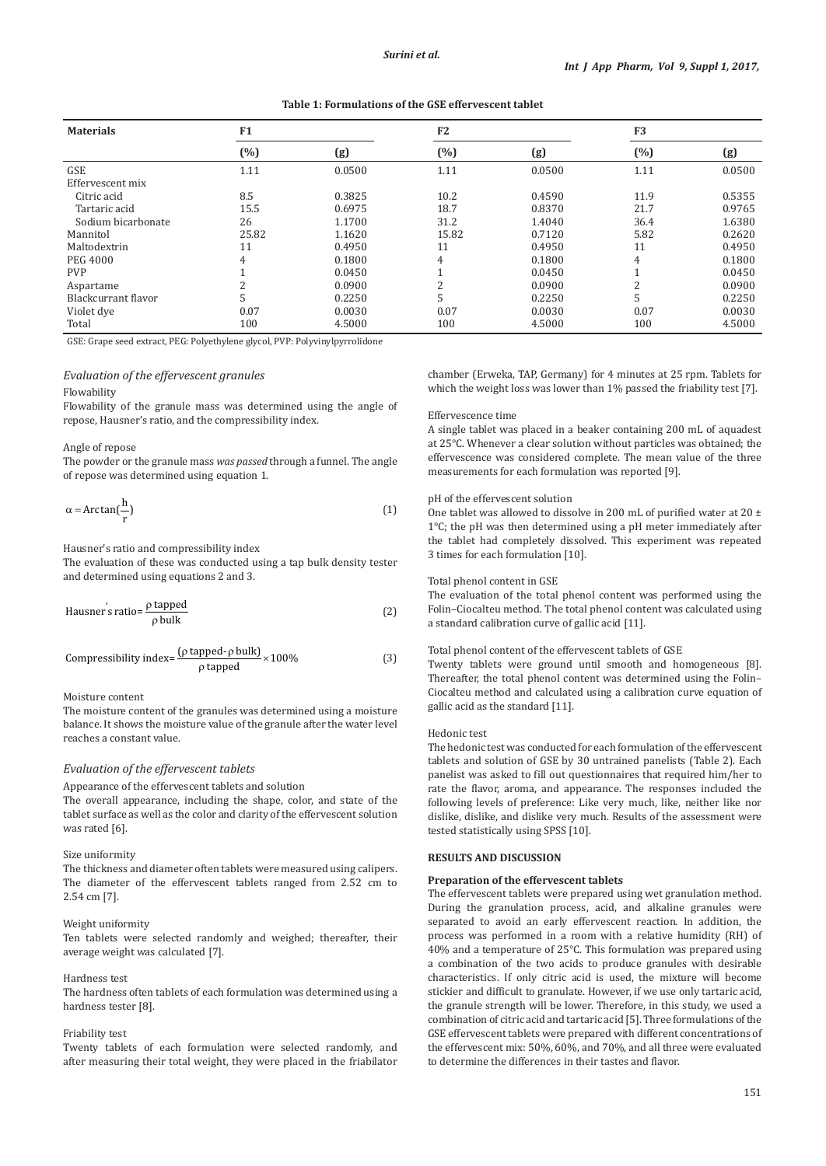## **Table 1: Formulations of the GSE effervescent tablet**

| <b>Materials</b>    | F1    |        | F <sub>2</sub> |        | F <sub>3</sub> |        |
|---------------------|-------|--------|----------------|--------|----------------|--------|
|                     | (%)   | (g)    | (%)            | (g)    | $(\%)$         | (g)    |
| <b>GSE</b>          | 1.11  | 0.0500 | 1.11           | 0.0500 | 1.11           | 0.0500 |
| Effervescent mix    |       |        |                |        |                |        |
| Citric acid         | 8.5   | 0.3825 | 10.2           | 0.4590 | 11.9           | 0.5355 |
| Tartaric acid       | 15.5  | 0.6975 | 18.7           | 0.8370 | 21.7           | 0.9765 |
| Sodium bicarbonate  | 26    | 1.1700 | 31.2           | 1.4040 | 36.4           | 1.6380 |
| Mannitol            | 25.82 | 1.1620 | 15.82          | 0.7120 | 5.82           | 0.2620 |
| Maltodextrin        | 11    | 0.4950 | 11             | 0.4950 | 11             | 0.4950 |
| <b>PEG 4000</b>     | 4     | 0.1800 | 4              | 0.1800 | $\overline{4}$ | 0.1800 |
| <b>PVP</b>          |       | 0.0450 |                | 0.0450 |                | 0.0450 |
| Aspartame           |       | 0.0900 | C              | 0.0900 | C              | 0.0900 |
| Blackcurrant flavor | C.    | 0.2250 | 5              | 0.2250 | 5              | 0.2250 |
| Violet dye          | 0.07  | 0.0030 | 0.07           | 0.0030 | 0.07           | 0.0030 |
| Total               | 100   | 4.5000 | 100            | 4.5000 | 100            | 4.5000 |

GSE: Grape seed extract, PEG: Polyethylene glycol, PVP: Polyvinylpyrrolidone

### *Evaluation of the effervescent granules*

#### Flowability

Flowability of the granule mass was determined using the angle of repose, Hausner's ratio, and the compressibility index.

## Angle of repose

The powder or the granule mass *was passed* through a funnel. The angle of repose was determined using equation 1.

$$
\alpha = \arctan(\frac{h}{r})\tag{1}
$$

# Hausner's ratio and compressibility index

The evaluation of these was conducted using a tap bulk density tester and determined using equations 2 and 3.

Hausner's ratio=
$$
\frac{\rho \text{ tapped}}{\rho \text{ bulk}}
$$
 (2)

Compressibility index=
$$
\frac{(\rho \text{ tapped} \cdot \rho \text{ bulk})}{\rho \text{ tapped}} \times 100\%
$$
 (3)

## Moisture content

The moisture content of the granules was determined using a moisture balance. It shows the moisture value of the granule after the water level reaches a constant value.

# *Evaluation of the effervescent tablets*

Appearance of the effervescent tablets and solution

The overall appearance, including the shape, color, and state of the tablet surface as well as the color and clarity of the effervescent solution was rated [6].

# Size uniformity

The thickness and diameter often tablets were measured using calipers. The diameter of the effervescent tablets ranged from 2.52 cm to 2.54 cm [7].

### Weight uniformity

Ten tablets were selected randomly and weighed; thereafter, their average weight was calculated [7].

# Hardness test

The hardness often tablets of each formulation was determined using a hardness tester [8].

## Friability test

Twenty tablets of each formulation were selected randomly, and after measuring their total weight, they were placed in the friabilator chamber (Erweka, TAP, Germany) for 4 minutes at 25 rpm. Tablets for which the weight loss was lower than 1% passed the friability test [7].

### Effervescence time

A single tablet was placed in a beaker containing 200 mL of aquadest at 25°C. Whenever a clear solution without particles was obtained; the effervescence was considered complete. The mean value of the three measurements for each formulation was reported [9].

## pH of the effervescent solution

One tablet was allowed to dissolve in 200 mL of purified water at 20  $\pm$ 1°C; the pH was then determined using a pH meter immediately after the tablet had completely dissolved. This experiment was repeated 3 times for each formulation [10].

## Total phenol content in GSE

The evaluation of the total phenol content was performed using the Folin–Ciocalteu method. The total phenol content was calculated using a standard calibration curve of gallic acid [11].

## Total phenol content of the effervescent tablets of GSE

Twenty tablets were ground until smooth and homogeneous [8]. Thereafter, the total phenol content was determined using the Folin– Ciocalteu method and calculated using a calibration curve equation of gallic acid as the standard [11].

# Hedonic test

The hedonic test was conducted for each formulation of the effervescent tablets and solution of GSE by 30 untrained panelists (Table 2). Each panelist was asked to fill out questionnaires that required him/her to rate the flavor, aroma, and appearance. The responses included the following levels of preference: Like very much, like, neither like nor dislike, dislike, and dislike very much. Results of the assessment were tested statistically using SPSS [10].

#### **RESULTS AND DISCUSSION**

#### **Preparation of the effervescent tablets**

The effervescent tablets were prepared using wet granulation method. During the granulation process, acid, and alkaline granules were separated to avoid an early effervescent reaction. In addition, the process was performed in a room with a relative humidity (RH) of 40% and a temperature of 25°C. This formulation was prepared using a combination of the two acids to produce granules with desirable characteristics. If only citric acid is used, the mixture will become stickier and difficult to granulate. However, if we use only tartaric acid, the granule strength will be lower. Therefore, in this study, we used a combination of citric acid and tartaric acid [5]. Three formulations of the GSE effervescent tablets were prepared with different concentrations of the effervescent mix: 50%, 60%, and 70%, and all three were evaluated to determine the differences in their tastes and flavor.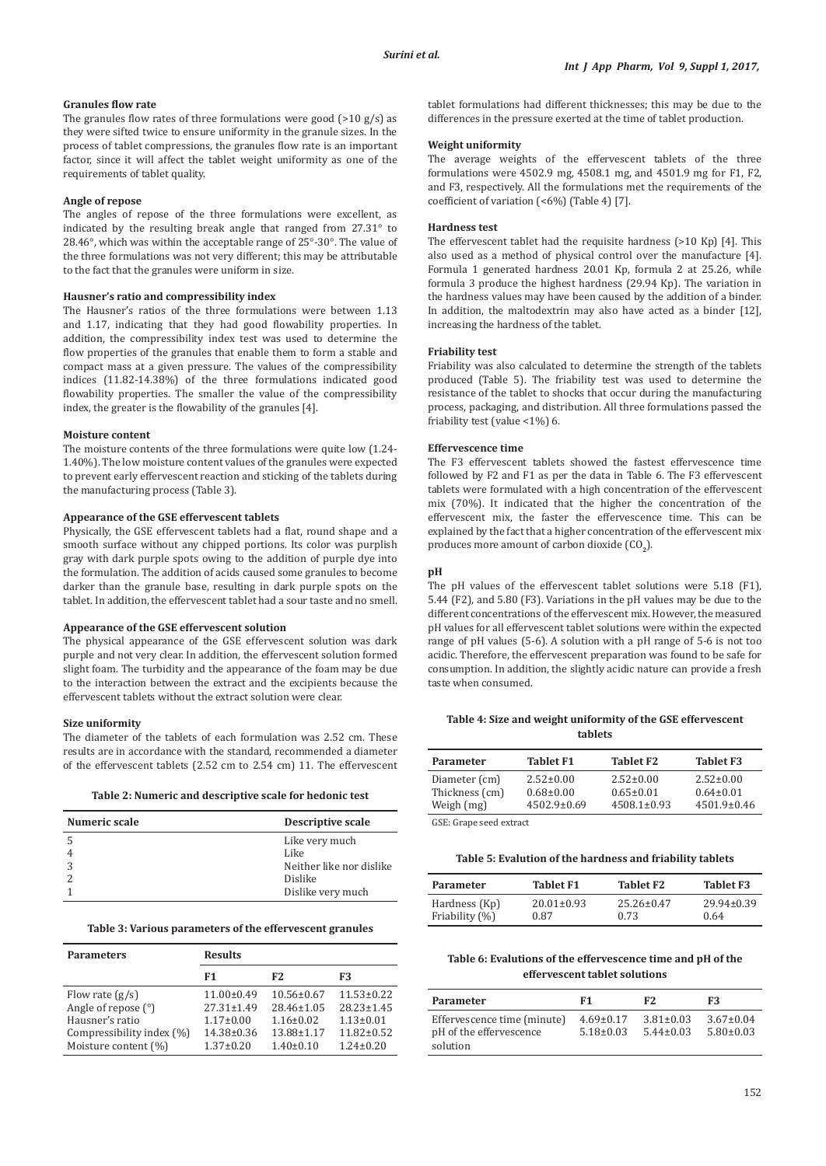## **Granules flow rate**

The granules flow rates of three formulations were good  $(>10 g/s)$  as they were sifted twice to ensure uniformity in the granule sizes. In the process of tablet compressions, the granules flow rate is an important factor, since it will affect the tablet weight uniformity as one of the requirements of tablet quality.

#### **Angle of repose**

The angles of repose of the three formulations were excellent, as indicated by the resulting break angle that ranged from 27.31° to 28.46°, which was within the acceptable range of 25°-30°. The value of the three formulations was not very different; this may be attributable to the fact that the granules were uniform in size.

#### **Hausner's ratio and compressibility index**

The Hausner's ratios of the three formulations were between 1.13 and 1.17, indicating that they had good flowability properties. In addition, the compressibility index test was used to determine the flow properties of the granules that enable them to form a stable and compact mass at a given pressure. The values of the compressibility indices (11.82-14.38%) of the three formulations indicated good flowability properties. The smaller the value of the compressibility index, the greater is the flowability of the granules [4].

## **Moisture content**

The moisture contents of the three formulations were quite low (1.24- 1.40%). The low moisture content values of the granules were expected to prevent early effervescent reaction and sticking of the tablets during the manufacturing process (Table 3).

## **Appearance of the GSE effervescent tablets**

Physically, the GSE effervescent tablets had a flat, round shape and a smooth surface without any chipped portions. Its color was purplish gray with dark purple spots owing to the addition of purple dye into the formulation. The addition of acids caused some granules to become darker than the granule base, resulting in dark purple spots on the tablet. In addition, the effervescent tablet had a sour taste and no smell.

# **Appearance of the GSE effervescent solution**

The physical appearance of the GSE effervescent solution was dark purple and not very clear. In addition, the effervescent solution formed slight foam. The turbidity and the appearance of the foam may be due to the interaction between the extract and the excipients because the effervescent tablets without the extract solution were clear.

## **Size uniformity**

The diameter of the tablets of each formulation was 2.52 cm. These results are in accordance with the standard, recommended a diameter of the effervescent tablets (2.52 cm to 2.54 cm) 11. The effervescent

| Numeric scale | Descriptive scale        |
|---------------|--------------------------|
|               | Like very much           |
|               | Like                     |
|               | Neither like nor dislike |
|               | Dislike                  |
|               | Dislike very much        |

### **Table 3: Various parameters of the effervescent granules**

| <b>Parameters</b>                                                                                                | <b>Results</b>                                                                                 |                                                                                          |                                                                                                |  |
|------------------------------------------------------------------------------------------------------------------|------------------------------------------------------------------------------------------------|------------------------------------------------------------------------------------------|------------------------------------------------------------------------------------------------|--|
|                                                                                                                  | F1                                                                                             | F <sub>2</sub>                                                                           | F3                                                                                             |  |
| Flow rate $(g/s)$<br>Angle of repose (°)<br>Hausner's ratio<br>Compressibility index (%)<br>Moisture content (%) | $11.00 \pm 0.49$<br>$27.31 \pm 1.49$<br>$1.17 \pm 0.00$<br>$14.38 \pm 0.36$<br>$1.37 \pm 0.20$ | $10.56 \pm 0.67$<br>$28.46 \pm 1.05$<br>$1.16 \pm 0.02$<br>13.88±1.17<br>$1.40 \pm 0.10$ | $11.53 \pm 0.22$<br>$28.23 \pm 1.45$<br>$1.13 \pm 0.01$<br>$11.82 \pm 0.52$<br>$1.24 \pm 0.20$ |  |

tablet formulations had different thicknesses; this may be due to the differences in the pressure exerted at the time of tablet production.

#### **Weight uniformity**

The average weights of the effervescent tablets of the three formulations were 4502.9 mg, 4508.1 mg, and 4501.9 mg for F1, F2, and F3, respectively. All the formulations met the requirements of the coefficient of variation (<6%) (Table 4) [7].

#### **Hardness test**

The effervescent tablet had the requisite hardness (>10 Kp) [4]. This also used as a method of physical control over the manufacture [4]. Formula 1 generated hardness 20.01 Kp, formula 2 at 25.26, while formula 3 produce the highest hardness (29.94 Kp). The variation in the hardness values may have been caused by the addition of a binder. In addition, the maltodextrin may also have acted as a binder [12], increasing the hardness of the tablet.

## **Friability test**

Friability was also calculated to determine the strength of the tablets produced (Table 5). The friability test was used to determine the resistance of the tablet to shocks that occur during the manufacturing process, packaging, and distribution. All three formulations passed the friability test (value <1%) 6.

# **Effervescence time**

The F3 effervescent tablets showed the fastest effervescence time followed by F2 and F1 as per the data in Table 6. The F3 effervescent tablets were formulated with a high concentration of the effervescent mix (70%). It indicated that the higher the concentration of the effervescent mix, the faster the effervescence time. This can be explained by the fact that a higher concentration of the effervescent mix produces more amount of carbon dioxide (CO<sub>2</sub>).

# **pH**

The pH values of the effervescent tablet solutions were 5.18 (F1), 5.44 (F2), and 5.80 (F3). Variations in the pH values may be due to the different concentrations of the effervescent mix. However, the measured pH values for all effervescent tablet solutions were within the expected range of pH values (5-6). A solution with a pH range of 5-6 is not too acidic. Therefore, the effervescent preparation was found to be safe for consumption. In addition, the slightly acidic nature can provide a fresh taste when consumed.

# **Table 4: Size and weight uniformity of the GSE effervescent tablets**

| Parameter                 | <b>Tablet F1</b>  | <b>Tablet F2</b>  | <b>Tablet F3</b>  |
|---------------------------|-------------------|-------------------|-------------------|
| Diameter (cm)             | $2.52 \pm 0.00$   | $2.52 \pm 0.00$   | $2.52 \pm 0.00$   |
| Thickness (cm)            | $0.68 \pm 0.00$   | $0.65 \pm 0.01$   | $0.64 \pm 0.01$   |
| Weigh (mg)                | $4502.9 \pm 0.69$ | $4508.1 \pm 0.93$ | $4501.9 \pm 0.46$ |
| $CCE.$ Crops agod outpoor |                   |                   |                   |

GSE: Grape seed extract

## **Table 5: Evalution of the hardness and friability tablets**

| Parameter      | <b>Tablet F1</b> | Tablet F2        | <b>Tablet F3</b> |
|----------------|------------------|------------------|------------------|
| Hardness (Kp)  | $20.01 \pm 0.93$ | $25.26 \pm 0.47$ | $29.94 \pm 0.39$ |
| Friability (%) | 0.87             | 0.73             | 0.64             |

# **Table 6: Evalutions of the effervescence time and pH of the effervescent tablet solutions**

| Parameter                                                          | F1                                 | F2.                                | F3                                 |
|--------------------------------------------------------------------|------------------------------------|------------------------------------|------------------------------------|
| Effervescence time (minute)<br>pH of the effervescence<br>solution | $4.69 \pm 0.17$<br>$5.18 \pm 0.03$ | $3.81 \pm 0.03$<br>$5.44 \pm 0.03$ | $3.67 \pm 0.04$<br>$5.80 \pm 0.03$ |